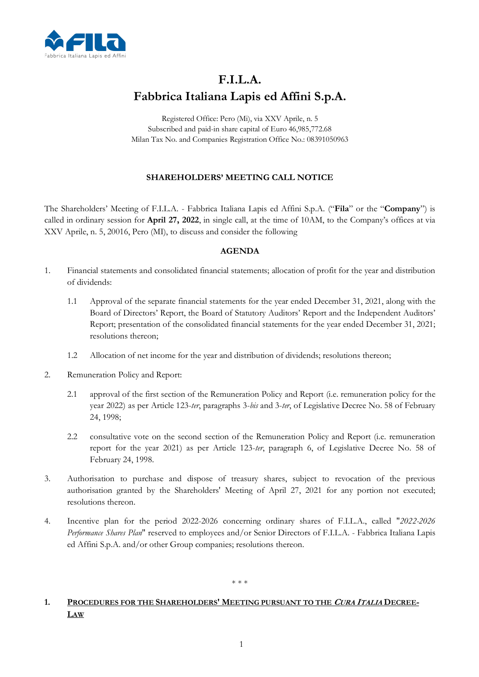

# **F.I.L.A. Fabbrica Italiana Lapis ed Affini S.p.A.**

Registered Office: Pero (Mi), via XXV Aprile, n. 5 Subscribed and paid-in share capital of Euro 46,985,772.68 Milan Tax No. and Companies Registration Office No.: 08391050963

## **SHAREHOLDERS' MEETING CALL NOTICE**

The Shareholders' Meeting of F.I.L.A. - Fabbrica Italiana Lapis ed Affini S.p.A. ("**Fila**" or the "**Company**") is called in ordinary session for **April 27, 2022**, in single call, at the time of 10AM, to the Company's offices at via XXV Aprile, n. 5, 20016, Pero (MI), to discuss and consider the following

### **AGENDA**

- 1. Financial statements and consolidated financial statements; allocation of profit for the year and distribution of dividends:
	- 1.1 Approval of the separate financial statements for the year ended December 31, 2021, along with the Board of Directors' Report, the Board of Statutory Auditors' Report and the Independent Auditors' Report; presentation of the consolidated financial statements for the year ended December 31, 2021; resolutions thereon;
	- 1.2 Allocation of net income for the year and distribution of dividends; resolutions thereon;
- 2. Remuneration Policy and Report:
	- 2.1 approval of the first section of the Remuneration Policy and Report (i.e. remuneration policy for the year 2022) as per Article 123-*ter*, paragraphs 3-*bis* and 3-*ter*, of Legislative Decree No. 58 of February 24, 1998;
	- 2.2 consultative vote on the second section of the Remuneration Policy and Report (i.e. remuneration report for the year 2021) as per Article 123-*ter*, paragraph 6, of Legislative Decree No. 58 of February 24, 1998.
- 3. Authorisation to purchase and dispose of treasury shares, subject to revocation of the previous authorisation granted by the Shareholders' Meeting of April 27, 2021 for any portion not executed; resolutions thereon.
- 4. Incentive plan for the period 2022-2026 concerning ordinary shares of F.I.L.A., called "*2022-2026 Performance Shares Plan*" reserved to employees and/or Senior Directors of F.I.L.A. - Fabbrica Italiana Lapis ed Affini S.p.A. and/or other Group companies; resolutions thereon.

#### \* \* \*

## 1. PROCEDURES FOR THE SHAREHOLDERS' MEETING PURSUANT TO THE CURA ITALIA DECREE-**LAW**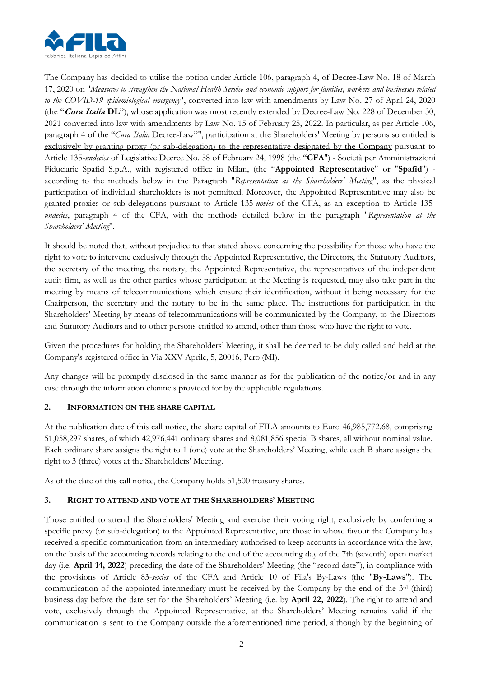

The Company has decided to utilise the option under Article 106, paragraph 4, of Decree-Law No. 18 of March 17, 2020 on "*Measures to strengthen the National Health Service and economic support for families, workers and businesses related to the COVID-19 epidemiological emergency*", converted into law with amendments by Law No. 27 of April 24, 2020 (the "**Cura Italia DL**"), whose application was most recently extended by Decree-Law No. 228 of December 30, 2021 converted into law with amendments by Law No. 15 of February 25, 2022. In particular, as per Article 106, paragraph 4 of the "*Cura Italia* Decree-Law"", participation at the Shareholders' Meeting by persons so entitled is exclusively by granting proxy (or sub-delegation) to the representative designated by the Company pursuant to Article 135-*undecies* of Legislative Decree No. 58 of February 24, 1998 (the "**CFA**") - Società per Amministrazioni Fiduciarie Spafid S.p.A., with registered office in Milan, (the "**Appointed Representative**" or "**Spafid**") according to the methods below in the Paragraph "*Representation at the Shareholders' Meeting*", as the physical participation of individual shareholders is not permitted. Moreover, the Appointed Representative may also be granted proxies or sub-delegations pursuant to Article 135-*novies* of the CFA, as an exception to Article 135 *undecies*, paragraph 4 of the CFA, with the methods detailed below in the paragraph "*Representation at the Shareholders' Meeting*".

It should be noted that, without prejudice to that stated above concerning the possibility for those who have the right to vote to intervene exclusively through the Appointed Representative, the Directors, the Statutory Auditors, the secretary of the meeting, the notary, the Appointed Representative, the representatives of the independent audit firm, as well as the other parties whose participation at the Meeting is requested, may also take part in the meeting by means of telecommunications which ensure their identification, without it being necessary for the Chairperson, the secretary and the notary to be in the same place. The instructions for participation in the Shareholders' Meeting by means of telecommunications will be communicated by the Company, to the Directors and Statutory Auditors and to other persons entitled to attend, other than those who have the right to vote.

Given the procedures for holding the Shareholders' Meeting, it shall be deemed to be duly called and held at the Company's registered office in Via XXV Aprile, 5, 20016, Pero (MI).

Any changes will be promptly disclosed in the same manner as for the publication of the notice/or and in any case through the information channels provided for by the applicable regulations.

## **2. INFORMATION ON THE SHARE CAPITAL**

At the publication date of this call notice, the share capital of FILA amounts to Euro 46,985,772.68, comprising 51,058,297 shares, of which 42,976,441 ordinary shares and 8,081,856 special B shares, all without nominal value. Each ordinary share assigns the right to 1 (one) vote at the Shareholders' Meeting, while each B share assigns the right to 3 (three) votes at the Shareholders' Meeting.

As of the date of this call notice, the Company holds 51,500 treasury shares.

## **3. RIGHT TO ATTEND AND VOTE AT THE SHAREHOLDERS' MEETING**

Those entitled to attend the Shareholders' Meeting and exercise their voting right, exclusively by conferring a specific proxy (or sub-delegation) to the Appointed Representative, are those in whose favour the Company has received a specific communication from an intermediary authorised to keep accounts in accordance with the law, on the basis of the accounting records relating to the end of the accounting day of the 7th (seventh) open market day (i.e. **April 14, 2022**) preceding the date of the Shareholders' Meeting (the "record date"), in compliance with the provisions of Article 83-*sexies* of the CFA and Article 10 of Fila's By-Laws (the "**By-Laws**"). The communication of the appointed intermediary must be received by the Company by the end of the 3<sup>rd</sup> (third) business day before the date set for the Shareholders' Meeting (i.e. by **April 22, 2022**). The right to attend and vote, exclusively through the Appointed Representative, at the Shareholders' Meeting remains valid if the communication is sent to the Company outside the aforementioned time period, although by the beginning of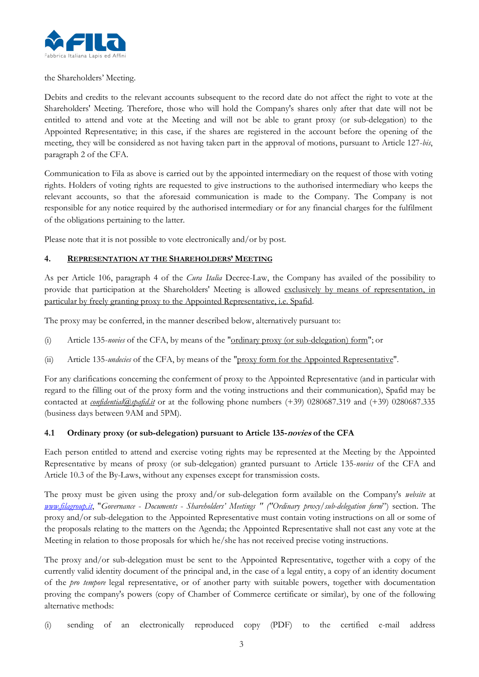

#### the Shareholders' Meeting.

Debits and credits to the relevant accounts subsequent to the record date do not affect the right to vote at the Shareholders' Meeting. Therefore, those who will hold the Company's shares only after that date will not be entitled to attend and vote at the Meeting and will not be able to grant proxy (or sub-delegation) to the Appointed Representative; in this case, if the shares are registered in the account before the opening of the meeting, they will be considered as not having taken part in the approval of motions, pursuant to Article 127-*bis*, paragraph 2 of the CFA.

Communication to Fila as above is carried out by the appointed intermediary on the request of those with voting rights. Holders of voting rights are requested to give instructions to the authorised intermediary who keeps the relevant accounts, so that the aforesaid communication is made to the Company. The Company is not responsible for any notice required by the authorised intermediary or for any financial charges for the fulfilment of the obligations pertaining to the latter.

Please note that it is not possible to vote electronically and/or by post.

### **4. REPRESENTATION AT THE SHAREHOLDERS' MEETING**

As per Article 106, paragraph 4 of the *Cura Italia* Decree-Law, the Company has availed of the possibility to provide that participation at the Shareholders' Meeting is allowed exclusively by means of representation, in particular by freely granting proxy to the Appointed Representative, i.e. Spafid.

The proxy may be conferred, in the manner described below, alternatively pursuant to:

- (i) Article 135-*novies* of the CFA, by means of the "ordinary proxy (or sub-delegation) form"; or
- (ii) Article 135-*undecies* of the CFA, by means of the "proxy form for the Appointed Representative".

For any clarifications concerning the conferment of proxy to the Appointed Representative (and in particular with regard to the filling out of the proxy form and the voting instructions and their communication), Spafid may be contacted at *confidential@spafid.it* or at the following phone numbers (+39) 0280687.319 and (+39) 0280687.335 (business days between 9AM and 5PM).

## **4.1 Ordinary proxy (or sub-delegation) pursuant to Article 135-novies of the CFA**

Each person entitled to attend and exercise voting rights may be represented at the Meeting by the Appointed Representative by means of proxy (or sub-delegation) granted pursuant to Article 135-*novies* of the CFA and Article 10.3 of the By-Laws, without any expenses except for transmission costs.

The proxy must be given using the proxy and/or sub-delegation form available on the Company's *website* at *www.filagroup.it*, "*Governance* - *Documents* - *Shareholders' Meetings " ("Ordinary proxy/sub-delegation form*") section. The proxy and/or sub-delegation to the Appointed Representative must contain voting instructions on all or some of the proposals relating to the matters on the Agenda; the Appointed Representative shall not cast any vote at the Meeting in relation to those proposals for which he/she has not received precise voting instructions.

The proxy and/or sub-delegation must be sent to the Appointed Representative, together with a copy of the currently valid identity document of the principal and, in the case of a legal entity, a copy of an identity document of the *pro tempore* legal representative, or of another party with suitable powers, together with documentation proving the company's powers (copy of Chamber of Commerce certificate or similar), by one of the following alternative methods:

(i) sending of an electronically reproduced copy (PDF) to the certified e-mail address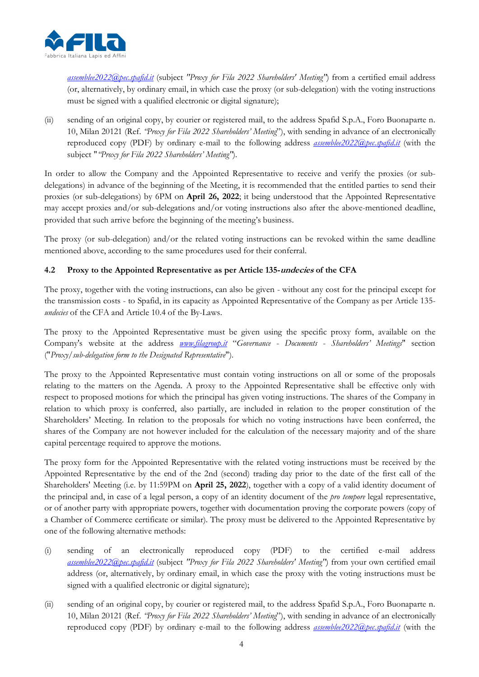

*assemblee2022@pec.spafid.it* (subject *"Proxy for Fila 2022 Shareholders' Meeting"*) from a certified email address (or, alternatively, by ordinary email, in which case the proxy (or sub-delegation) with the voting instructions must be signed with a qualified electronic or digital signature);

(ii) sending of an original copy, by courier or registered mail, to the address Spafid S.p.A., Foro Buonaparte n. 10, Milan 20121 (Ref. *"Proxy for Fila 2022 Shareholders' Meeting*"), with sending in advance of an electronically reproduced copy (PDF) by ordinary e-mail to the following address *assemblee2022@pec.spafid.it* (with the subject "*"Proxy for Fila 2022 Shareholders' Meeting"*).

In order to allow the Company and the Appointed Representative to receive and verify the proxies (or subdelegations) in advance of the beginning of the Meeting, it is recommended that the entitled parties to send their proxies (or sub-delegations) by 6PM on **April 26, 2022**; it being understood that the Appointed Representative may accept proxies and/or sub-delegations and/or voting instructions also after the above-mentioned deadline, provided that such arrive before the beginning of the meeting's business.

The proxy (or sub-delegation) and/or the related voting instructions can be revoked within the same deadline mentioned above, according to the same procedures used for their conferral.

## **4.2 Proxy to the Appointed Representative as per Article 135-undecies of the CFA**

The proxy, together with the voting instructions, can also be given - without any cost for the principal except for the transmission costs - to Spafid, in its capacity as Appointed Representative of the Company as per Article 135 *undecies* of the CFA and Article 10.4 of the By-Laws.

The proxy to the Appointed Representative must be given using the specific proxy form, available on the Company's website at the address *www.filagroup.it* "*Governance* - *Documents* - *Shareholders' Meetings*" section ("*Proxy/sub-delegation form to the Designated Representative*").

The proxy to the Appointed Representative must contain voting instructions on all or some of the proposals relating to the matters on the Agenda. A proxy to the Appointed Representative shall be effective only with respect to proposed motions for which the principal has given voting instructions. The shares of the Company in relation to which proxy is conferred, also partially, are included in relation to the proper constitution of the Shareholders' Meeting. In relation to the proposals for which no voting instructions have been conferred, the shares of the Company are not however included for the calculation of the necessary majority and of the share capital percentage required to approve the motions.

The proxy form for the Appointed Representative with the related voting instructions must be received by the Appointed Representative by the end of the 2nd (second) trading day prior to the date of the first call of the Shareholders' Meeting (i.e. by 11:59PM on **April 25, 2022**), together with a copy of a valid identity document of the principal and, in case of a legal person, a copy of an identity document of the *pro tempore* legal representative, or of another party with appropriate powers, together with documentation proving the corporate powers (copy of a Chamber of Commerce certificate or similar). The proxy must be delivered to the Appointed Representative by one of the following alternative methods:

- (i) sending of an electronically reproduced copy (PDF) to the certified e-mail address *assemblee2022@pec.spafid.it* (subject *"Proxy for Fila 2022 Shareholders' Meeting"*) from your own certified email address (or, alternatively, by ordinary email, in which case the proxy with the voting instructions must be signed with a qualified electronic or digital signature);
- (ii) sending of an original copy, by courier or registered mail, to the address Spafid S.p.A., Foro Buonaparte n. 10, Milan 20121 (Ref. *"Proxy for Fila 2022 Shareholders' Meeting*"), with sending in advance of an electronically reproduced copy (PDF) by ordinary e-mail to the following address *assemblee2022@pec.spafid.it* (with the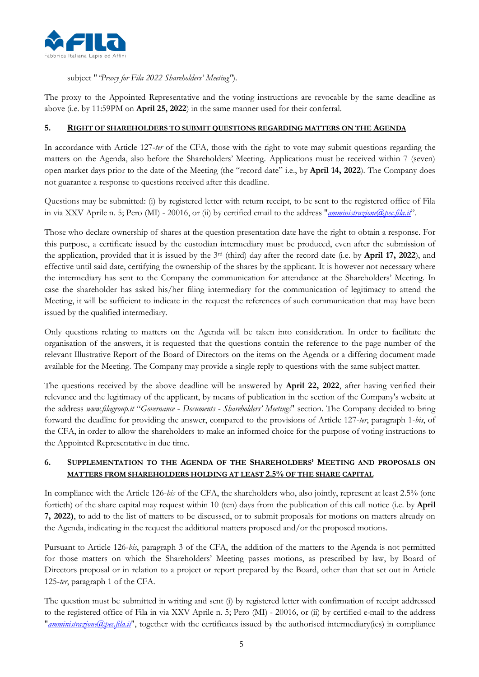

subject "*"Proxy for Fila 2022 Shareholders' Meeting"*).

The proxy to the Appointed Representative and the voting instructions are revocable by the same deadline as above (i.e. by 11:59PM on **April 25, 2022**) in the same manner used for their conferral.

## **5. RIGHT OF SHAREHOLDERS TO SUBMIT QUESTIONS REGARDING MATTERS ON THE AGENDA**

In accordance with Article 127-*ter* of the CFA, those with the right to vote may submit questions regarding the matters on the Agenda, also before the Shareholders' Meeting. Applications must be received within 7 (seven) open market days prior to the date of the Meeting (the "record date" i.e., by **April 14, 2022**). The Company does not guarantee a response to questions received after this deadline.

Questions may be submitted: (i) by registered letter with return receipt, to be sent to the registered office of Fila in via XXV Aprile n. 5; Pero (MI) - 20016, or (ii) by certified email to the address "*amministrazione@pec.fila.it*".

Those who declare ownership of shares at the question presentation date have the right to obtain a response. For this purpose, a certificate issued by the custodian intermediary must be produced, even after the submission of the application, provided that it is issued by the 3rd (third) day after the record date (i.e. by **April 17, 2022**), and effective until said date, certifying the ownership of the shares by the applicant. It is however not necessary where the intermediary has sent to the Company the communication for attendance at the Shareholders' Meeting. In case the shareholder has asked his/her filing intermediary for the communication of legitimacy to attend the Meeting, it will be sufficient to indicate in the request the references of such communication that may have been issued by the qualified intermediary.

Only questions relating to matters on the Agenda will be taken into consideration. In order to facilitate the organisation of the answers, it is requested that the questions contain the reference to the page number of the relevant Illustrative Report of the Board of Directors on the items on the Agenda or a differing document made available for the Meeting. The Company may provide a single reply to questions with the same subject matter.

The questions received by the above deadline will be answered by **April 22, 2022**, after having verified their relevance and the legitimacy of the applicant, by means of publication in the section of the Company's website at the address *www.filagroup.it* "*Governance* - *Documents* - *Shareholders' Meetings*" section. The Company decided to bring forward the deadline for providing the answer, compared to the provisions of Article 127-*ter*, paragraph 1-*bis*, of the CFA, in order to allow the shareholders to make an informed choice for the purpose of voting instructions to the Appointed Representative in due time.

## **6. SUPPLEMENTATION TO THE AGENDA OF THE SHAREHOLDERS' MEETING AND PROPOSALS ON MATTERS FROM SHAREHOLDERS HOLDING AT LEAST 2.5% OF THE SHARE CAPITAL**

In compliance with the Article 126-*bis* of the CFA, the shareholders who, also jointly, represent at least 2.5% (one fortieth) of the share capital may request within 10 (ten) days from the publication of this call notice (i.e. by **April 7, 2022)**, to add to the list of matters to be discussed, or to submit proposals for motions on matters already on the Agenda, indicating in the request the additional matters proposed and/or the proposed motions.

Pursuant to Article 126-*bis*, paragraph 3 of the CFA, the addition of the matters to the Agenda is not permitted for those matters on which the Shareholders' Meeting passes motions, as prescribed by law, by Board of Directors proposal or in relation to a project or report prepared by the Board, other than that set out in Article 125-*ter*, paragraph 1 of the CFA.

The question must be submitted in writing and sent (i) by registered letter with confirmation of receipt addressed to the registered office of Fila in via XXV Aprile n. 5; Pero (MI) - 20016, or (ii) by certified e-mail to the address "*amministrazione@pec.fila.it*", together with the certificates issued by the authorised intermediary(ies) in compliance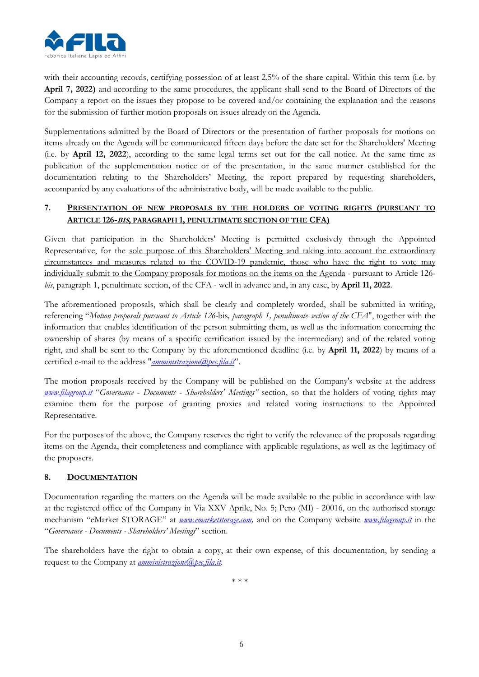

with their accounting records, certifying possession of at least 2.5% of the share capital. Within this term (i.e. by **April 7, 2022)** and according to the same procedures, the applicant shall send to the Board of Directors of the Company a report on the issues they propose to be covered and/or containing the explanation and the reasons for the submission of further motion proposals on issues already on the Agenda.

Supplementations admitted by the Board of Directors or the presentation of further proposals for motions on items already on the Agenda will be communicated fifteen days before the date set for the Shareholders' Meeting (i.e. by **April 12, 2022**), according to the same legal terms set out for the call notice. At the same time as publication of the supplementation notice or of the presentation, in the same manner established for the documentation relating to the Shareholders' Meeting, the report prepared by requesting shareholders, accompanied by any evaluations of the administrative body, will be made available to the public.

## **7. PRESENTATION OF NEW PROPOSALS BY THE HOLDERS OF VOTING RIGHTS (PURSUANT TO ARTICLE 126-BIS, PARAGRAPH 1, PENULTIMATE SECTION OF THE CFA)**

Given that participation in the Shareholders' Meeting is permitted exclusively through the Appointed Representative, for the sole purpose of this Shareholders' Meeting and taking into account the extraordinary circumstances and measures related to the COVID-19 pandemic, those who have the right to vote may individually submit to the Company proposals for motions on the items on the Agenda - pursuant to Article 126 *bis*, paragraph 1, penultimate section, of the CFA - well in advance and, in any case, by **April 11, 2022**.

The aforementioned proposals, which shall be clearly and completely worded, shall be submitted in writing, referencing "*Motion proposals pursuant to Article 126-*bis*, paragraph 1, penultimate section of the CFA*", together with the information that enables identification of the person submitting them, as well as the information concerning the ownership of shares (by means of a specific certification issued by the intermediary) and of the related voting right, and shall be sent to the Company by the aforementioned deadline (i.e. by **April 11, 2022**) by means of a certified e-mail to the address "*amministrazione@pec.fila.it*".

The motion proposals received by the Company will be published on the Company's website at the address *www.filagroup.it* "*Governance* - *Documents* - *Shareholders' Meetings"* section, so that the holders of voting rights may examine them for the purpose of granting proxies and related voting instructions to the Appointed Representative.

For the purposes of the above, the Company reserves the right to verify the relevance of the proposals regarding items on the Agenda, their completeness and compliance with applicable regulations, as well as the legitimacy of the proposers.

## **8. DOCUMENTATION**

Documentation regarding the matters on the Agenda will be made available to the public in accordance with law at the registered office of the Company in Via XXV Aprile, No. 5; Pero (MI) - 20016, on the authorised storage mechanism "eMarket STORAGE" at *www.emarketstorage.com,* and on the Company website *www.filagroup.it* in the "*Governance - Documents - Shareholders' Meetings*" section.

The shareholders have the right to obtain a copy, at their own expense, of this documentation, by sending a request to the Company at *amministrazione*@pec.fila.it.

\* \* \*